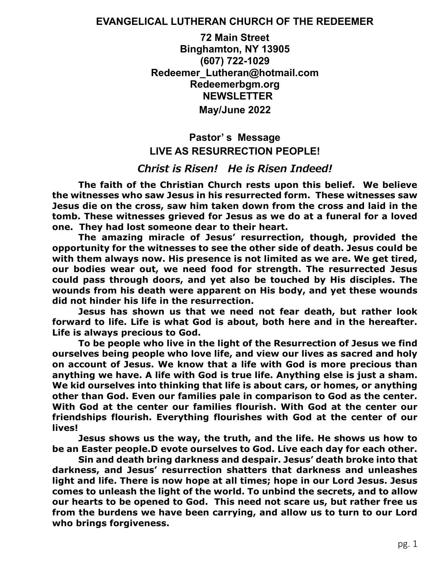#### **EVANGELICAL LUTHERAN CHURCH OF THE REDEEMER**

**72 Main Street Binghamton, NY 13905 (607) 722-1029 Redeemer\_Lutheran@hotmail.com Redeemerbgm.org NEWSLETTER May/June 2022**

# **Pastor' s Message LIVE AS RESURRECTION PEOPLE!**

#### *Christ is Risen! He is Risen Indeed!*

**The faith of the Christian Church rests upon this belief. We believe the witnesses who saw Jesus in his resurrected form. These witnesses saw Jesus die on the cross, saw him taken down from the cross and laid in the tomb. These witnesses grieved for Jesus as we do at a funeral for a loved one. They had lost someone dear to their heart.** 

**The amazing miracle of Jesus' resurrection, though, provided the opportunity for the witnesses to see the other side of death. Jesus could be with them always now. His presence is not limited as we are. We get tired, our bodies wear out, we need food for strength. The resurrected Jesus could pass through doors, and yet also be touched by His disciples. The wounds from his death were apparent on His body, and yet these wounds did not hinder his life in the resurrection.** 

**Jesus has shown us that we need not fear death, but rather look forward to life. Life is what God is about, both here and in the hereafter. Life is always precious to God.** 

**To be people who live in the light of the Resurrection of Jesus we find ourselves being people who love life, and view our lives as sacred and holy on account of Jesus. We know that a life with God is more precious than anything we have. A life with God is true life. Anything else is just a sham. We kid ourselves into thinking that life is about cars, or homes, or anything other than God. Even our families pale in comparison to God as the center. With God at the center our families flourish. With God at the center our friendships flourish. Everything flourishes with God at the center of our lives!** 

**Jesus shows us the way, the truth, and the life. He shows us how to be an Easter people.D evote ourselves to God. Live each day for each other.**

**Sin and death bring darkness and despair. Jesus' death broke into that darkness, and Jesus' resurrection shatters that darkness and unleashes light and life. There is now hope at all times; hope in our Lord Jesus. Jesus comes to unleash the light of the world. To unbind the secrets, and to allow our hearts to be opened to God. This need not scare us, but rather free us from the burdens we have been carrying, and allow us to turn to our Lord who brings forgiveness.**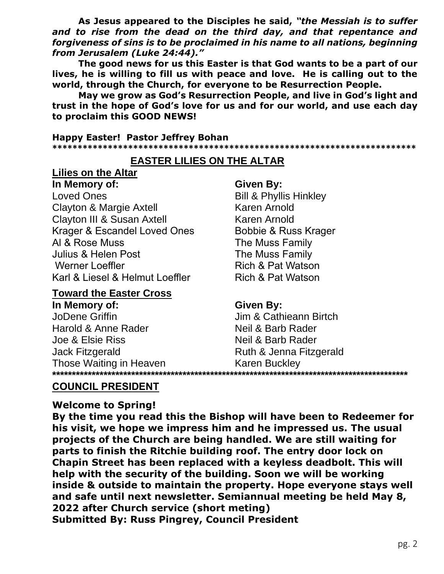As Jesus appeared to the Disciples he said, "the Messiah is to suffer and to rise from the dead on the third day, and that repentance and forgiveness of sins is to be proclaimed in his name to all nations, beginning from Jerusalem (Luke 24:44)."

The good news for us this Easter is that God wants to be a part of our lives, he is willing to fill us with peace and love. He is calling out to the world, through the Church, for everyone to be Resurrection People.

May we grow as God's Resurrection People, and live in God's light and trust in the hope of God's love for us and for our world, and use each day to proclaim this GOOD NEWS!

**Happy Easter! Pastor Jeffrey Bohan** 

# **EASTER LILIES ON THE ALTAR**

**Lilies on the Altar** In Memory of: Loved Ones **Clayton & Margie Axtell** Clayton III & Susan Axtell Krager & Escandel Loved Ones Al & Rose Muss Julius & Helen Post **Werner Loeffler** Karl & Liesel & Helmut Loeffler

#### **Toward the Easter Cross**

In Memory of: JoDene Griffin Harold & Anne Rader Joe & Elsie Riss Jack Fitzgerald Those Waiting in Heaven .\*\*\*\*\*\*\*\*\*\*\*

#### Given By:

**Bill & Phyllis Hinkley** Karen Arnold Karen Arnold **Bobbie & Russ Krager** The Muss Family The Muss Family Rich & Pat Watson Rich & Pat Watson

### **Given By:**

Jim & Cathieann Birtch Neil & Barb Rader Neil & Barb Rader Ruth & Jenna Fitzgerald **Karen Buckley** 

# **COUNCIL PRESIDENT**

#### **Welcome to Spring!**

By the time you read this the Bishop will have been to Redeemer for his visit, we hope we impress him and he impressed us. The usual projects of the Church are being handled. We are still waiting for parts to finish the Ritchie building roof. The entry door lock on Chapin Street has been replaced with a keyless deadbolt. This will help with the security of the building. Soon we will be working inside & outside to maintain the property. Hope everyone stays well and safe until next newsletter. Semiannual meeting be held May 8, 2022 after Church service (short meting) **Submitted By: Russ Pingrey, Council President**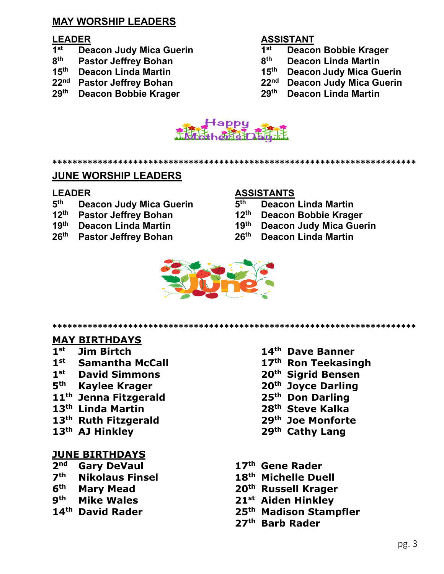# **MAY WORSHIP LEADERS**

- **st Deacon Judy Mica Guerin 1**
- **Pastor Jeffrey Bohan**
- 
- 
- 

### **LEADER ASSISTANT**

- **st Deacon Bobbie Krager**
- **th Deacon Linda Martin**
- **th Deacon Linda Martin 15th Deacon Judy Mica Guerin**
- **nd Pastor Jeffrey Bohan 22nd Deacon Judy Mica Guerin**
- **th Deacon Bobbie Krager 29th Deacon Linda Martin**



**\*\*\*\*\*\*\*\*\*\*\*\*\*\*\*\*\*\*\*\*\*\*\*\*\*\*\*\*\*\*\*\*\*\*\*\*\*\*\*\*\*\*\*\*\*\*\*\*\*\*\*\*\*\*\*\*\*\*\*\*\*\*\*\*\*\*\*\*\*\*\*\***

#### **JUNE WORSHIP LEADERS**

- **Deacon Judy Mica Guerin 5<sup>th</sup>**
- 
- 
- **th Pastor Jeffrey Bohan 26th Deacon Linda Martin**

#### **LEADER ASSISTANTS**

- **th Deacon Linda Martin**
- **th Pastor Jeffrey Bohan 12th Deacon Bobbie Krager**
- **th Deacon Linda Martin 19th Deacon Judy Mica Guerin**
	-



**\*\*\*\*\*\*\*\*\*\*\*\*\*\*\*\*\*\*\*\*\*\*\*\*\*\*\*\*\*\*\*\*\*\*\*\*\*\*\*\*\*\*\*\*\*\*\*\*\*\*\*\*\*\*\*\*\*\*\*\*\*\*\*\*\*\*\*\*\*\*\*\***

### **MAY BIRTHDAYS**

- 
- 
- **st David Simmons 20th Sigrid Bensen**
- 
- **th Jenna Fitzgerald 25th Don Darling**
- 
- **th Linda Martin 28th Steve Kalka th Ruth Fitzgerald 29th Joe Monforte**
- 

#### **JUNE BIRTHDAYS**

- **nd Gary DeVaul 17th Gene Rader**
- **th Nikolaus Finsel 18th Michelle Duell**
- 
- 
- 
- **st Jim Birtch 14th Dave Banner**
- **st Samantha McCall 17th Ron Teekasingh**
	-
- **th Kaylee Krager 20th Joyce Darling**
	-
	-
	-
- **th AJ Hinkley 29th Cathy Lang**
	-
	-
- **th Mary Mead 20th Russell Krager**
- **th Mike Wales 21st Aiden Hinkley**
- **th David Rader 25th Madison Stampfler**
	- **th Barb Rader**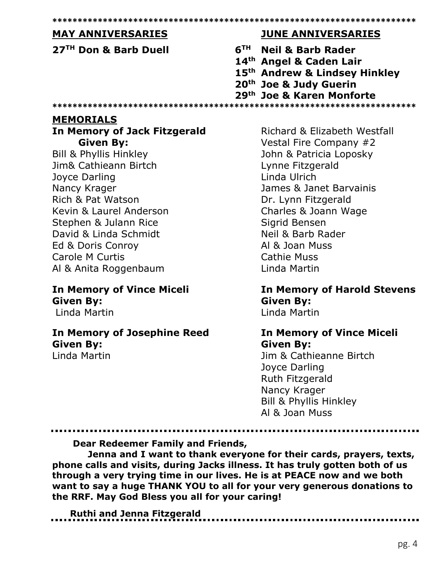| <b>MAY ANNIVERSARIES</b>          | <b>JUNE ANNIVERSARIES</b>          |
|-----------------------------------|------------------------------------|
| 27 <sup>TH</sup> Don & Barb Duell | 6 <sup>TH</sup> Neil & Barb Rader  |
|                                   | 14th Angel & Caden Lair            |
|                                   | 15th Andrew & Lindsey Hinkley      |
|                                   | 20 <sup>th</sup> Joe & Judy Guerin |
|                                   | 29th Joe & Karen Monforte          |
|                                   |                                    |

In Memory of Jack Fitzgerald **Given By:** 

**Bill & Phyllis Hinkley** Jim& Cathieann Birtch Joyce Darling Nancy Krager Rich & Pat Watson Kevin & Laurel Anderson Stephen & Julann Rice David & Linda Schmidt Ed & Doris Conroy Carole M Curtis Al & Anita Roggenbaum

#### **In Memory of Vince Miceli Given By:** Linda Martin

# **In Memory of Josephine Reed Given By:**

Linda Martin

Richard & Elizabeth Westfall Vestal Fire Company #2 John & Patricia Loposky Lynne Fitzgerald Linda Ulrich James & Janet Barvainis Dr. Lynn Fitzgerald Charles & Joann Wage Sigrid Bensen Neil & Barb Rader Al & Joan Muss Cathie Muss Linda Martin

**In Memory of Harold Stevens Given By:** Linda Martin

# **In Memory of Vince Miceli Given By:**

Jim & Cathieanne Birtch Joyce Darling Ruth Fitzgerald Nancy Krager **Bill & Phyllis Hinkley** Al & Joan Muss

**Dear Redeemer Family and Friends,** 

Jenna and I want to thank everyone for their cards, prayers, texts, phone calls and visits, during Jacks illness. It has truly gotten both of us through a very trying time in our lives. He is at PEACE now and we both want to say a huge THANK YOU to all for your very generous donations to the RRF. May God Bless you all for your caring!

**Ruthi and Jenna Fitzgerald**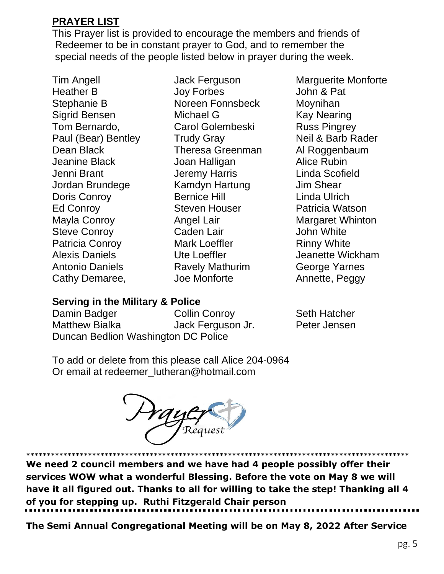# **PRAYER LIST**

This Prayer list is provided to encourage the members and friends of Redeemer to be in constant prayer to God, and to remember the special needs of the people listed below in prayer during the week.

Tim Angell Heather B Stephanie B Sigrid Bensen Tom Bernardo, Paul (Bear) Bentley Dean Black Jeanine Black Jenni Brant Jordan Brundege Doris Conroy Ed Conroy Mayla Conroy Steve Conroy Patricia Conroy Alexis Daniels Antonio Daniels Cathy Demaree,

Jack Ferguson Joy Forbes Noreen Fonnsbeck Michael G Carol Golembeski Trudy Gray Theresa Greenman Joan Halligan Jeremy Harris Kamdyn Hartung Bernice Hill Steven Houser Angel Lair Caden Lair Mark Loeffler Ute Loeffler Ravely Mathurim Joe Monforte

Marguerite Monforte John & Pat Moynihan Kay Nearing Russ Pingrey Neil & Barb Rader Al Roggenbaum Alice Rubin Linda Scofield Jim Shear Linda Ulrich Patricia Watson Margaret Whinton John White Rinny White Jeanette Wickham George Yarnes Annette, Peggy

# **Serving in the Military & Police**

Damin Badger Matthew Bialka Collin Conroy Jack Ferguson Jr. Duncan Bedlion Washington DC Police

Seth Hatcher Peter Jensen

To add or delete from this please call Alice 204-0964 Or email at redeemer\_lutheran@hotmail.com



**\*\*\*\*\*\*\*\*\*\*\*\*\*\*\*\*\*\*\*\*\*\*\*\*\*\*\*\*\*\*\*\*\*\*\*\*\*\*\*\*\*\*\*\*\*\*\*\*\*\*\*\*\*\*\*\*\*\*\*\*\*\*\*\*\*\*\*\*\*\*\*\*\*\*\*\*\*\*\*\*\*\*\*\*\*\*\*\*\*\*\*\*\* We need 2 council members and we have had 4 people possibly offer their services WOW what a wonderful Blessing. Before the vote on May 8 we will have it all figured out. Thanks to all for willing to take the step! Thanking all 4 of you for stepping up. Ruthi Fitzgerald Chair person**

**The Semi Annual Congregational Meeting will be on May 8, 2022 After Service**